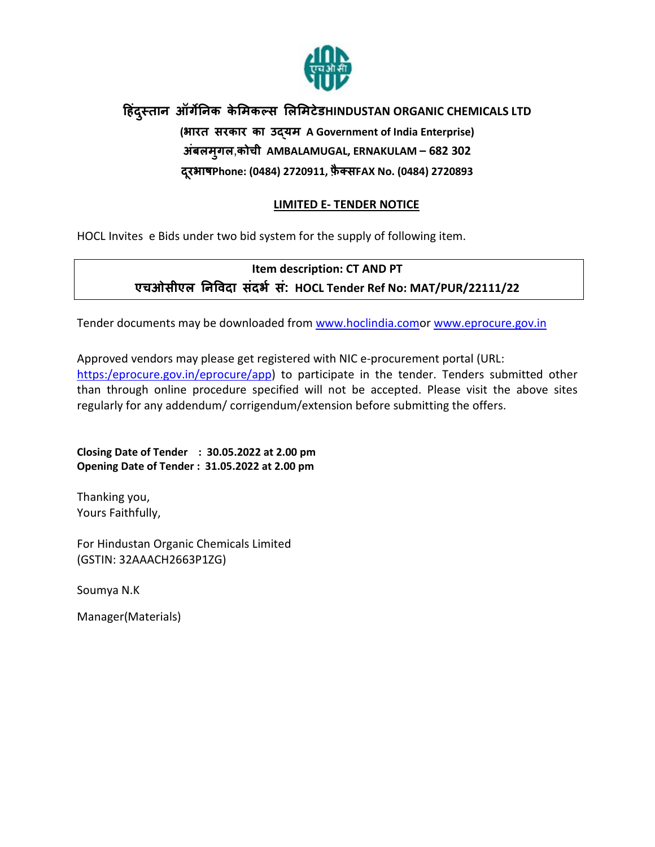

# हिंदुस्तान ऑर्गेनिक केमिकल्स लिमिटेडHINDUSTAN ORGANIC CHEMICALS LTD (भारत सरकार का उयम A Government of India Enterprise) अंबलमगलु ,कोची AMBALAMUGAL, ERNAKULAM – 682 302 दरभाष Phone: (0484) 2720911, फ़ैक्सFAX No. (0484) 2720893

# LIMITED E- TENDER NOTICE

HOCL Invites e Bids under two bid system for the supply of following item.

# Item description: CT AND PT एचओसीएल न)वदा संदभ+ सं: HOCL Tender Ref No: MAT/PUR/22111/22

Tender documents may be downloaded from www.hoclindia.comor www.eprocure.gov.in

Approved vendors may please get registered with NIC e-procurement portal (URL: https:/eprocure.gov.in/eprocure/app) to participate in the tender. Tenders submitted other than through online procedure specified will not be accepted. Please visit the above sites regularly for any addendum/ corrigendum/extension before submitting the offers.

Closing Date of Tender : 30.05.2022 at 2.00 pm Opening Date of Tender : 31.05.2022 at 2.00 pm

Thanking you, Yours Faithfully,

For Hindustan Organic Chemicals Limited (GSTIN: 32AAACH2663P1ZG)

Soumya N.K

Manager(Materials)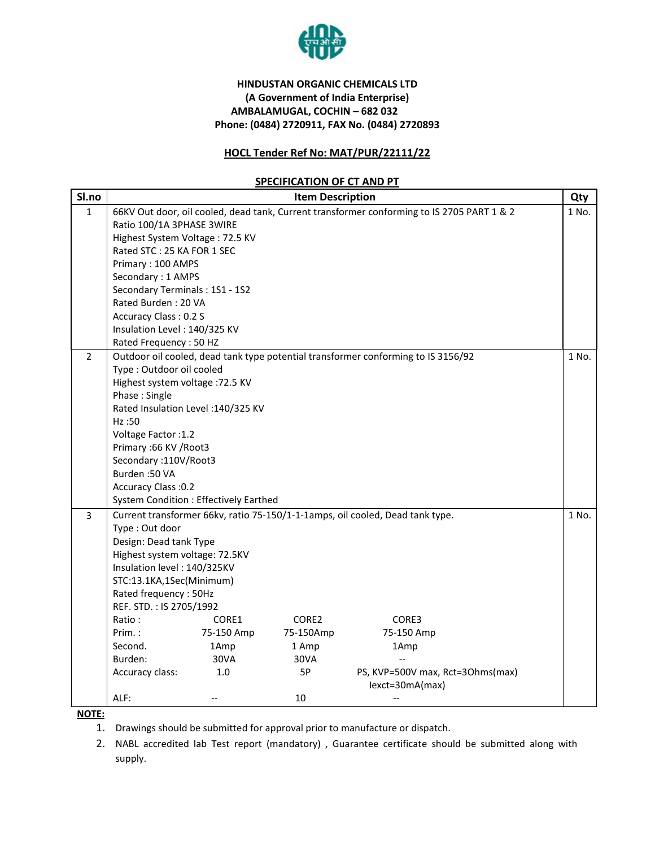

# HINDUSTAN ORGANIC CHEMICALS LTD (A Government of India Enterprise) AMBALAMUGAL, COCHIN – 682 032 Phone: (0484) 2720911, FAX No. (0484) 2720893

# HOCL Tender Ref No: MAT/PUR/22111/22

## SPECIFICATION OF CT AND PT

| Sl.no          | <b>Item Description</b>                                                                                       |            |           |                        | Qty   |  |
|----------------|---------------------------------------------------------------------------------------------------------------|------------|-----------|------------------------|-------|--|
| $\mathbf{1}$   | 66KV Out door, oil cooled, dead tank, Current transformer conforming to IS 2705 PART 1 & 2                    |            |           |                        |       |  |
|                | Ratio 100/1A 3PHASE 3WIRE                                                                                     |            |           |                        |       |  |
|                | Highest System Voltage: 72.5 KV                                                                               |            |           |                        |       |  |
|                | Rated STC: 25 KA FOR 1 SEC                                                                                    |            |           |                        |       |  |
|                | Primary: 100 AMPS                                                                                             |            |           |                        |       |  |
|                | Secondary: 1 AMPS                                                                                             |            |           |                        |       |  |
|                | Secondary Terminals: 1S1 - 1S2                                                                                |            |           |                        |       |  |
|                | Rated Burden: 20 VA                                                                                           |            |           |                        |       |  |
|                | Accuracy Class: 0.2 S                                                                                         |            |           |                        |       |  |
|                | Insulation Level: 140/325 KV                                                                                  |            |           |                        |       |  |
|                | Rated Frequency: 50 HZ                                                                                        |            |           |                        |       |  |
| $\overline{2}$ | Outdoor oil cooled, dead tank type potential transformer conforming to IS 3156/92<br>Type: Outdoor oil cooled |            |           |                        |       |  |
|                |                                                                                                               |            |           |                        |       |  |
|                | Highest system voltage : 72.5 KV                                                                              |            |           |                        |       |  |
|                | Phase: Single                                                                                                 |            |           |                        |       |  |
|                | Rated Insulation Level : 140/325 KV                                                                           |            |           |                        |       |  |
|                | Hz:50                                                                                                         |            |           |                        |       |  |
|                | Voltage Factor : 1.2<br>Primary: 66 KV / Root3<br>Secondary: 110V/Root3                                       |            |           |                        |       |  |
|                |                                                                                                               |            |           |                        |       |  |
|                |                                                                                                               |            |           |                        |       |  |
|                | Burden: 50 VA<br>Accuracy Class : 0.2<br><b>System Condition: Effectively Earthed</b>                         |            |           |                        |       |  |
|                |                                                                                                               |            |           |                        |       |  |
|                |                                                                                                               |            |           |                        | 1 No. |  |
| 3              | Current transformer 66kv, ratio 75-150/1-1-1amps, oil cooled, Dead tank type.                                 |            |           |                        |       |  |
|                | Type: Out door                                                                                                |            |           |                        |       |  |
|                | Design: Dead tank Type                                                                                        |            |           |                        |       |  |
|                | Highest system voltage: 72.5KV<br>Insulation level: 140/325KV                                                 |            |           |                        |       |  |
|                |                                                                                                               |            |           |                        |       |  |
|                | STC:13.1KA,1Sec(Minimum)                                                                                      |            |           |                        |       |  |
|                | Rated frequency: 50Hz                                                                                         |            |           |                        |       |  |
|                | REF. STD.: IS 2705/1992                                                                                       |            |           |                        |       |  |
|                | Ratio:                                                                                                        | CORE1      | CORE2     | CORE3                  |       |  |
|                | $Prim.$ :                                                                                                     | 75-150 Amp | 75-150Amp | 75-150 Amp             |       |  |
|                | Second.                                                                                                       | 1Amp       | 1 Amp     | 1Amp                   |       |  |
|                | Burden:                                                                                                       | 30VA       | 30VA      |                        |       |  |
|                | 1.0<br>PS, KVP=500V max, Rct=3Ohms(max)<br>Accuracy class:<br>5P                                              |            |           |                        |       |  |
|                | ALF:                                                                                                          | $-$        | 10        | lexct=30mA(max)<br>$-$ |       |  |
|                |                                                                                                               |            |           |                        |       |  |

NOTE:

- 1. Drawings should be submitted for approval prior to manufacture or dispatch.
- 2. NABL accredited lab Test report (mandatory) , Guarantee certificate should be submitted along with supply.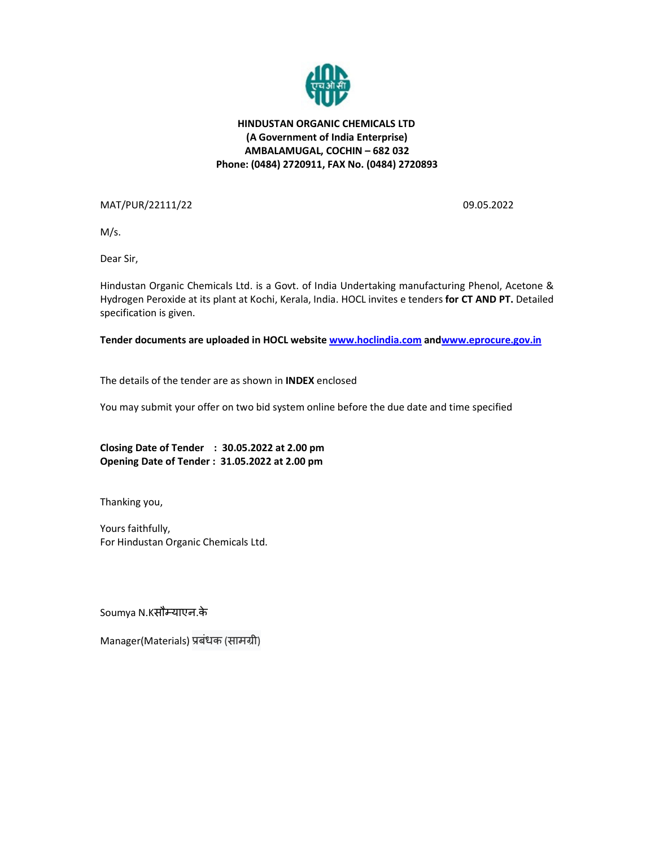

# HINDUSTAN ORGANIC CHEMICALS LTD (A Government of India Enterprise) AMBALAMUGAL, COCHIN – 682 032 Phone: (0484) 2720911, FAX No. (0484) 2720893

MAT/PUR/22111/22 09.05.2022

M/s.

Dear Sir,

Hindustan Organic Chemicals Ltd. is a Govt. of India Undertaking manufacturing Phenol, Acetone & Hydrogen Peroxide at its plant at Kochi, Kerala, India. HOCL invites e tenders for CT AND PT. Detailed specification is given.

Tender documents are uploaded in HOCL website www.hoclindia.com andwww.eprocure.gov.in

The details of the tender are as shown in INDEX enclosed

You may submit your offer on two bid system online before the due date and time specified

Closing Date of Tender : 30.05.2022 at 2.00 pm Opening Date of Tender : 31.05.2022 at 2.00 pm

Thanking you,

Yours faithfully, For Hindustan Organic Chemicals Ltd.

Soumya N.Kसौम्याएन.के

Manager(Materials) प्रबंधक (सामग्री)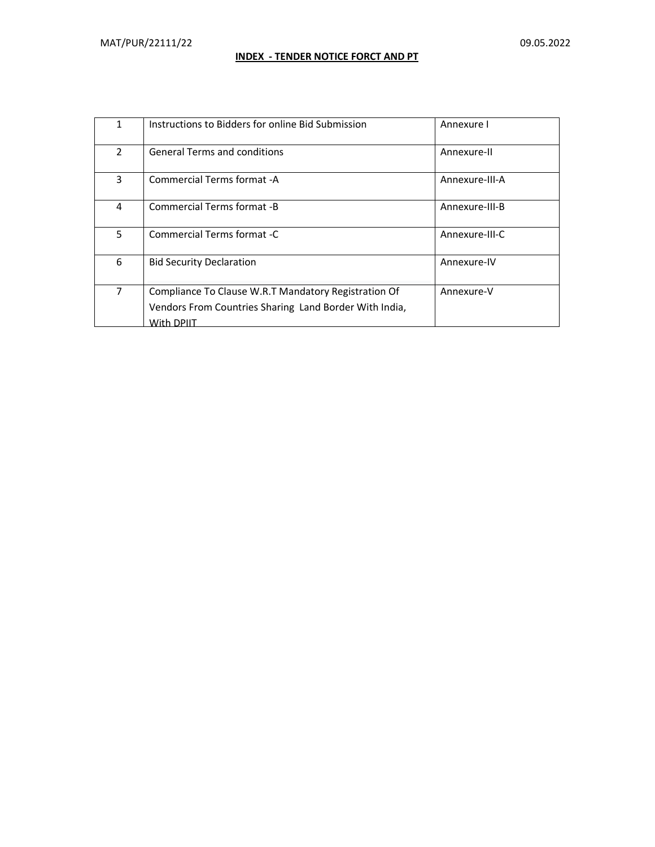# INDEX - TENDER NOTICE FORCT AND PT

| $\mathbf{1}$   | Instructions to Bidders for online Bid Submission                                                                            | Annexure I     |
|----------------|------------------------------------------------------------------------------------------------------------------------------|----------------|
| $\overline{2}$ | <b>General Terms and conditions</b>                                                                                          | Annexure-II    |
| 3              | Commercial Terms format -A                                                                                                   | Annexure-III-A |
| 4              | Commercial Terms format -B                                                                                                   | Annexure-III-B |
| 5              | Commercial Terms format -C                                                                                                   | Annexure-III-C |
| 6              | <b>Bid Security Declaration</b>                                                                                              | Annexure-IV    |
| $\overline{7}$ | Compliance To Clause W.R.T Mandatory Registration Of<br>Vendors From Countries Sharing Land Border With India,<br>With DPIIT | Annexure-V     |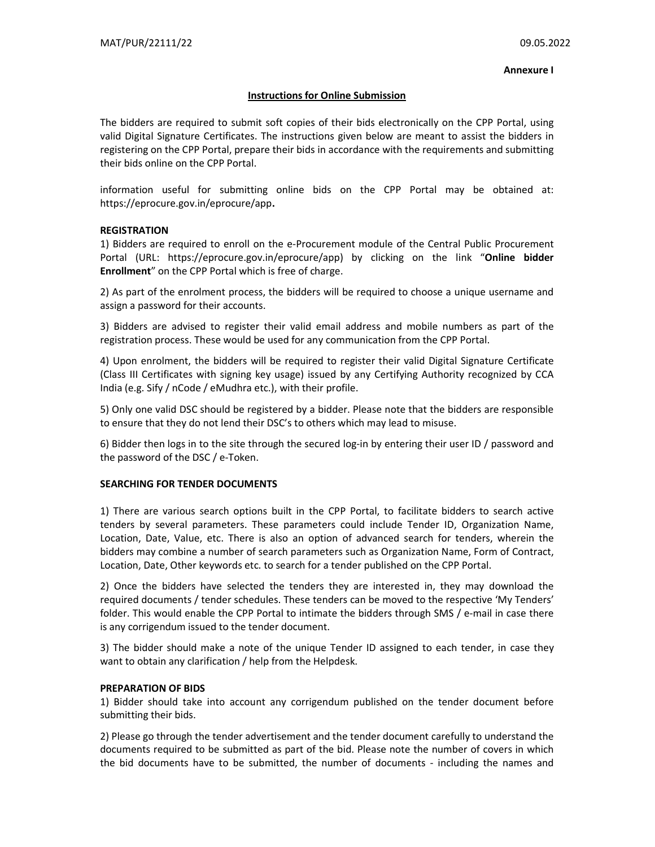#### Annexure I

#### Instructions for Online Submission

The bidders are required to submit soft copies of their bids electronically on the CPP Portal, using valid Digital Signature Certificates. The instructions given below are meant to assist the bidders in registering on the CPP Portal, prepare their bids in accordance with the requirements and submitting their bids online on the CPP Portal.

information useful for submitting online bids on the CPP Portal may be obtained at: https://eprocure.gov.in/eprocure/app.

#### **REGISTRATION**

1) Bidders are required to enroll on the e-Procurement module of the Central Public Procurement Portal (URL: https://eprocure.gov.in/eprocure/app) by clicking on the link "Online bidder Enrollment" on the CPP Portal which is free of charge.

2) As part of the enrolment process, the bidders will be required to choose a unique username and assign a password for their accounts.

3) Bidders are advised to register their valid email address and mobile numbers as part of the registration process. These would be used for any communication from the CPP Portal.

4) Upon enrolment, the bidders will be required to register their valid Digital Signature Certificate (Class III Certificates with signing key usage) issued by any Certifying Authority recognized by CCA India (e.g. Sify / nCode / eMudhra etc.), with their profile.

5) Only one valid DSC should be registered by a bidder. Please note that the bidders are responsible to ensure that they do not lend their DSC's to others which may lead to misuse.

6) Bidder then logs in to the site through the secured log-in by entering their user ID / password and the password of the DSC / e-Token.

#### SEARCHING FOR TENDER DOCUMENTS

1) There are various search options built in the CPP Portal, to facilitate bidders to search active tenders by several parameters. These parameters could include Tender ID, Organization Name, Location, Date, Value, etc. There is also an option of advanced search for tenders, wherein the bidders may combine a number of search parameters such as Organization Name, Form of Contract, Location, Date, Other keywords etc. to search for a tender published on the CPP Portal.

2) Once the bidders have selected the tenders they are interested in, they may download the required documents / tender schedules. These tenders can be moved to the respective 'My Tenders' folder. This would enable the CPP Portal to intimate the bidders through SMS / e-mail in case there is any corrigendum issued to the tender document.

3) The bidder should make a note of the unique Tender ID assigned to each tender, in case they want to obtain any clarification / help from the Helpdesk.

#### PREPARATION OF BIDS

1) Bidder should take into account any corrigendum published on the tender document before submitting their bids.

2) Please go through the tender advertisement and the tender document carefully to understand the documents required to be submitted as part of the bid. Please note the number of covers in which the bid documents have to be submitted, the number of documents - including the names and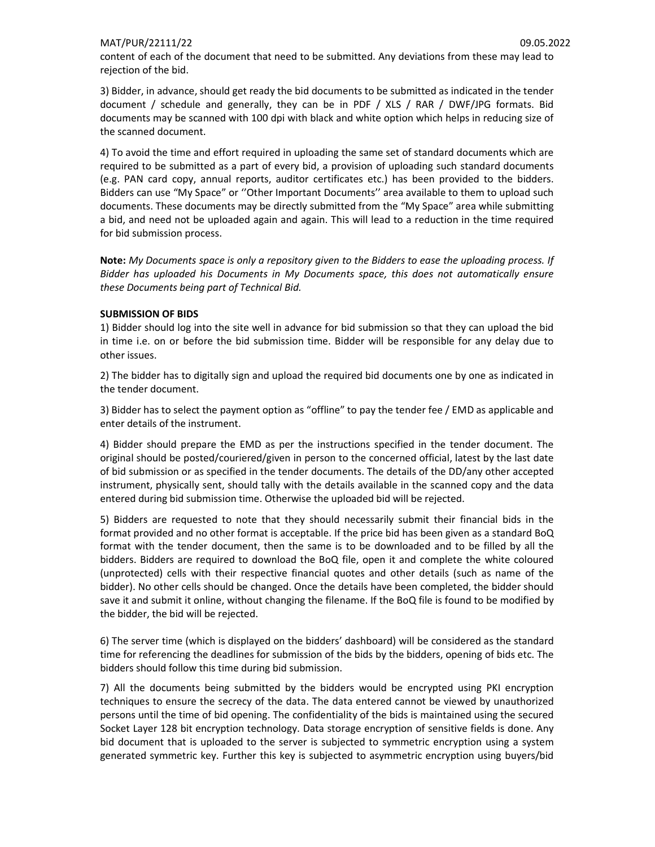### MAT/PUR/22111/22 09.05.2022

content of each of the document that need to be submitted. Any deviations from these may lead to rejection of the bid.

3) Bidder, in advance, should get ready the bid documents to be submitted as indicated in the tender document / schedule and generally, they can be in PDF / XLS / RAR / DWF/JPG formats. Bid documents may be scanned with 100 dpi with black and white option which helps in reducing size of the scanned document.

4) To avoid the time and effort required in uploading the same set of standard documents which are required to be submitted as a part of every bid, a provision of uploading such standard documents (e.g. PAN card copy, annual reports, auditor certificates etc.) has been provided to the bidders. Bidders can use "My Space" or ''Other Important Documents'' area available to them to upload such documents. These documents may be directly submitted from the "My Space" area while submitting a bid, and need not be uploaded again and again. This will lead to a reduction in the time required for bid submission process.

Note: My Documents space is only a repository given to the Bidders to ease the uploading process. If Bidder has uploaded his Documents in My Documents space, this does not automatically ensure these Documents being part of Technical Bid.

#### SUBMISSION OF BIDS

1) Bidder should log into the site well in advance for bid submission so that they can upload the bid in time i.e. on or before the bid submission time. Bidder will be responsible for any delay due to other issues.

2) The bidder has to digitally sign and upload the required bid documents one by one as indicated in the tender document.

3) Bidder has to select the payment option as "offline" to pay the tender fee / EMD as applicable and enter details of the instrument.

4) Bidder should prepare the EMD as per the instructions specified in the tender document. The original should be posted/couriered/given in person to the concerned official, latest by the last date of bid submission or as specified in the tender documents. The details of the DD/any other accepted instrument, physically sent, should tally with the details available in the scanned copy and the data entered during bid submission time. Otherwise the uploaded bid will be rejected.

5) Bidders are requested to note that they should necessarily submit their financial bids in the format provided and no other format is acceptable. If the price bid has been given as a standard BoQ format with the tender document, then the same is to be downloaded and to be filled by all the bidders. Bidders are required to download the BoQ file, open it and complete the white coloured (unprotected) cells with their respective financial quotes and other details (such as name of the bidder). No other cells should be changed. Once the details have been completed, the bidder should save it and submit it online, without changing the filename. If the BoQ file is found to be modified by the bidder, the bid will be rejected.

6) The server time (which is displayed on the bidders' dashboard) will be considered as the standard time for referencing the deadlines for submission of the bids by the bidders, opening of bids etc. The bidders should follow this time during bid submission.

7) All the documents being submitted by the bidders would be encrypted using PKI encryption techniques to ensure the secrecy of the data. The data entered cannot be viewed by unauthorized persons until the time of bid opening. The confidentiality of the bids is maintained using the secured Socket Layer 128 bit encryption technology. Data storage encryption of sensitive fields is done. Any bid document that is uploaded to the server is subjected to symmetric encryption using a system generated symmetric key. Further this key is subjected to asymmetric encryption using buyers/bid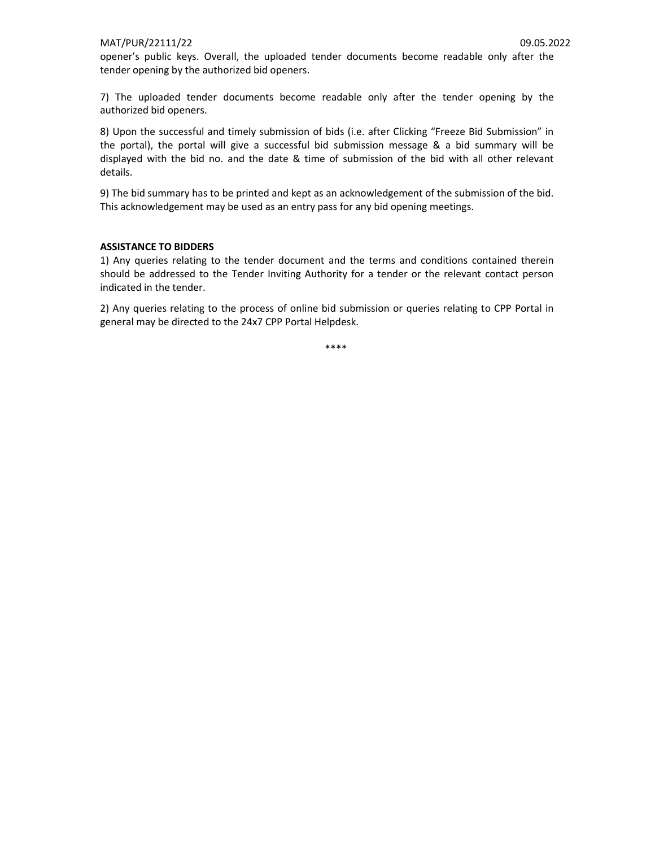opener's public keys. Overall, the uploaded tender documents become readable only after the tender opening by the authorized bid openers.

7) The uploaded tender documents become readable only after the tender opening by the authorized bid openers.

8) Upon the successful and timely submission of bids (i.e. after Clicking "Freeze Bid Submission" in the portal), the portal will give a successful bid submission message & a bid summary will be displayed with the bid no. and the date & time of submission of the bid with all other relevant details.

9) The bid summary has to be printed and kept as an acknowledgement of the submission of the bid. This acknowledgement may be used as an entry pass for any bid opening meetings.

#### ASSISTANCE TO BIDDERS

1) Any queries relating to the tender document and the terms and conditions contained therein should be addressed to the Tender Inviting Authority for a tender or the relevant contact person indicated in the tender.

2) Any queries relating to the process of online bid submission or queries relating to CPP Portal in general may be directed to the 24x7 CPP Portal Helpdesk.

\*\*\*\*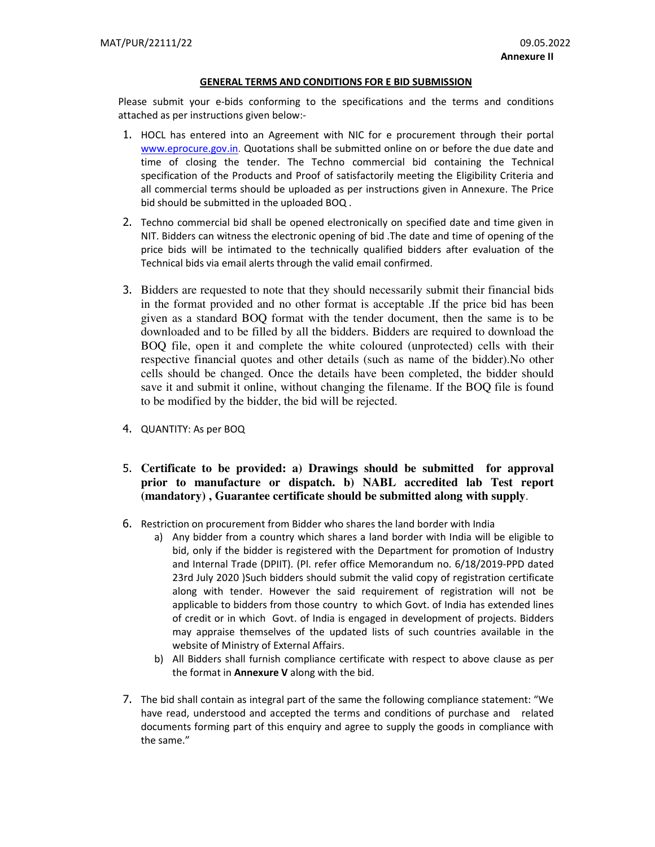#### GENERAL TERMS AND CONDITIONS FOR E BID SUBMISSION

Please submit your e-bids conforming to the specifications and the terms and conditions attached as per instructions given below:-

- 1. HOCL has entered into an Agreement with NIC for e procurement through their portal www.eprocure.gov.in. Quotations shall be submitted online on or before the due date and time of closing the tender. The Techno commercial bid containing the Technical specification of the Products and Proof of satisfactorily meeting the Eligibility Criteria and all commercial terms should be uploaded as per instructions given in Annexure. The Price bid should be submitted in the uploaded BOQ .
- 2. Techno commercial bid shall be opened electronically on specified date and time given in NIT. Bidders can witness the electronic opening of bid .The date and time of opening of the price bids will be intimated to the technically qualified bidders after evaluation of the Technical bids via email alerts through the valid email confirmed.
- 3. Bidders are requested to note that they should necessarily submit their financial bids in the format provided and no other format is acceptable .If the price bid has been given as a standard BOQ format with the tender document, then the same is to be downloaded and to be filled by all the bidders. Bidders are required to download the BOQ file, open it and complete the white coloured (unprotected) cells with their respective financial quotes and other details (such as name of the bidder).No other cells should be changed. Once the details have been completed, the bidder should save it and submit it online, without changing the filename. If the BOQ file is found to be modified by the bidder, the bid will be rejected.
- 4. QUANTITY: As per BOQ
- 5. **Certificate to be provided: a) Drawings should be submitted for approval prior to manufacture or dispatch. b) NABL accredited lab Test report (mandatory) , Guarantee certificate should be submitted along with supply**.
- 6. Restriction on procurement from Bidder who shares the land border with India
	- a) Any bidder from a country which shares a land border with India will be eligible to bid, only if the bidder is registered with the Department for promotion of Industry and Internal Trade (DPIIT). (Pl. refer office Memorandum no. 6/18/2019-PPD dated 23rd July 2020 )Such bidders should submit the valid copy of registration certificate along with tender. However the said requirement of registration will not be applicable to bidders from those country to which Govt. of India has extended lines of credit or in which Govt. of India is engaged in development of projects. Bidders may appraise themselves of the updated lists of such countries available in the website of Ministry of External Affairs.
	- b) All Bidders shall furnish compliance certificate with respect to above clause as per the format in **Annexure V** along with the bid.
- 7. The bid shall contain as integral part of the same the following compliance statement: "We have read, understood and accepted the terms and conditions of purchase and related documents forming part of this enquiry and agree to supply the goods in compliance with the same."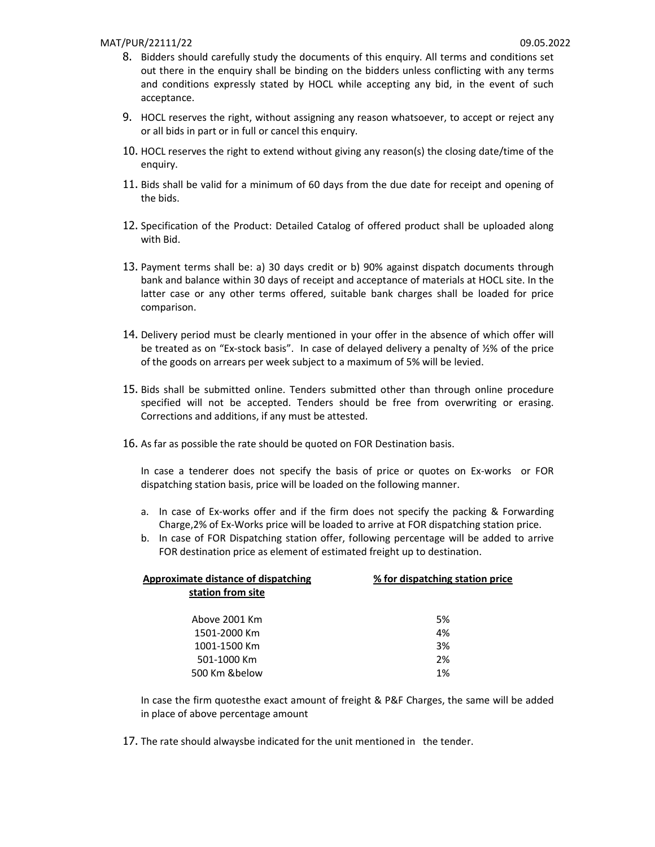#### MAT/PUR/22111/22 09.05.2022

- 8. Bidders should carefully study the documents of this enquiry. All terms and conditions set out there in the enquiry shall be binding on the bidders unless conflicting with any terms and conditions expressly stated by HOCL while accepting any bid, in the event of such acceptance.
- 9. HOCL reserves the right, without assigning any reason whatsoever, to accept or reject any or all bids in part or in full or cancel this enquiry.
- 10. HOCL reserves the right to extend without giving any reason(s) the closing date/time of the enquiry.
- 11. Bids shall be valid for a minimum of 60 days from the due date for receipt and opening of the bids.
- 12. Specification of the Product: Detailed Catalog of offered product shall be uploaded along with Bid.
- 13. Payment terms shall be: a) 30 days credit or b) 90% against dispatch documents through bank and balance within 30 days of receipt and acceptance of materials at HOCL site. In the latter case or any other terms offered, suitable bank charges shall be loaded for price comparison.
- 14. Delivery period must be clearly mentioned in your offer in the absence of which offer will be treated as on "Ex-stock basis". In case of delayed delivery a penalty of ½% of the price of the goods on arrears per week subject to a maximum of 5% will be levied.
- 15. Bids shall be submitted online. Tenders submitted other than through online procedure specified will not be accepted. Tenders should be free from overwriting or erasing. Corrections and additions, if any must be attested.
- 16. As far as possible the rate should be quoted on FOR Destination basis.

In case a tenderer does not specify the basis of price or quotes on Ex-works or FOR dispatching station basis, price will be loaded on the following manner.

- a. In case of Ex-works offer and if the firm does not specify the packing & Forwarding Charge,2% of Ex-Works price will be loaded to arrive at FOR dispatching station price.
- b. In case of FOR Dispatching station offer, following percentage will be added to arrive FOR destination price as element of estimated freight up to destination.

| <b>Approximate distance of dispatching</b> | % for dispatching station price |  |  |
|--------------------------------------------|---------------------------------|--|--|
| station from site                          |                                 |  |  |
| Above 2001 Km                              | 5%                              |  |  |
| 1501-2000 Km                               | 4%                              |  |  |
| 1001-1500 Km                               | 3%                              |  |  |
| 501-1000 Km                                | 2%                              |  |  |
| 500 Km &below                              | 1%                              |  |  |

In case the firm quotesthe exact amount of freight & P&F Charges, the same will be added in place of above percentage amount

17. The rate should alwaysbe indicated for the unit mentioned in the tender.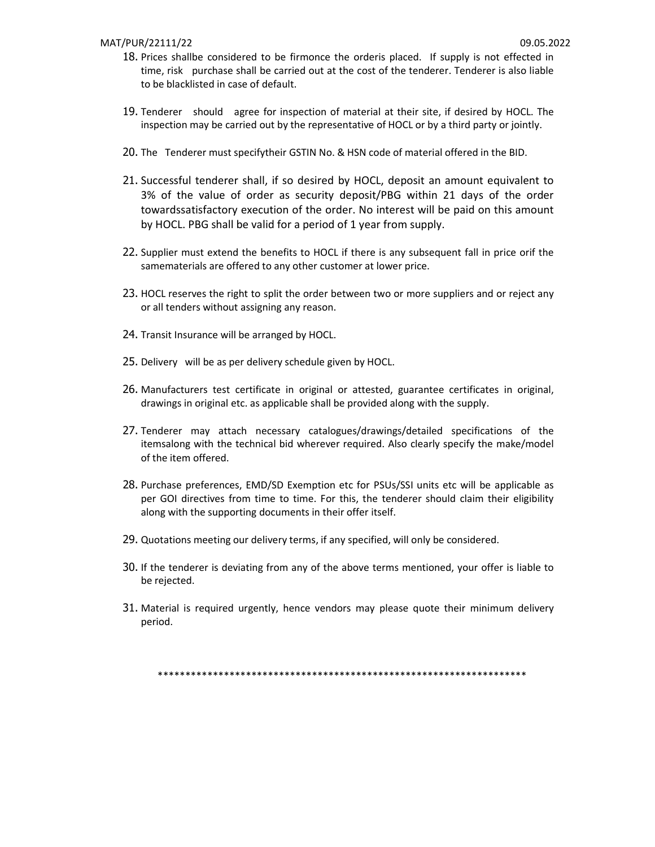- 18. Prices shallbe considered to be firmonce the orderis placed. If supply is not effected in time, risk purchase shall be carried out at the cost of the tenderer. Tenderer is also liable to be blacklisted in case of default.
- 19. Tenderer should agree for inspection of material at their site, if desired by HOCL. The inspection may be carried out by the representative of HOCL or by a third party or jointly.
- 20. The Tenderer must specifytheir GSTIN No. & HSN code of material offered in the BID.
- 21. Successful tenderer shall, if so desired by HOCL, deposit an amount equivalent to 3% of the value of order as security deposit/PBG within 21 days of the order towardssatisfactory execution of the order. No interest will be paid on this amount by HOCL. PBG shall be valid for a period of 1 year from supply.
- 22. Supplier must extend the benefits to HOCL if there is any subsequent fall in price orif the samematerials are offered to any other customer at lower price.
- 23. HOCL reserves the right to split the order between two or more suppliers and or reject any or all tenders without assigning any reason.
- 24. Transit Insurance will be arranged by HOCL.
- 25. Delivery will be as per delivery schedule given by HOCL.
- 26. Manufacturers test certificate in original or attested, guarantee certificates in original, drawings in original etc. as applicable shall be provided along with the supply.
- 27. Tenderer may attach necessary catalogues/drawings/detailed specifications of the itemsalong with the technical bid wherever required. Also clearly specify the make/model of the item offered.
- 28. Purchase preferences, EMD/SD Exemption etc for PSUs/SSI units etc will be applicable as per GOI directives from time to time. For this, the tenderer should claim their eligibility along with the supporting documents in their offer itself.
- 29. Quotations meeting our delivery terms, if any specified, will only be considered.
- 30. If the tenderer is deviating from any of the above terms mentioned, your offer is liable to be rejected.
- 31. Material is required urgently, hence vendors may please quote their minimum delivery period.

\*\*\*\*\*\*\*\*\*\*\*\*\*\*\*\*\*\*\*\*\*\*\*\*\*\*\*\*\*\*\*\*\*\*\*\*\*\*\*\*\*\*\*\*\*\*\*\*\*\*\*\*\*\*\*\*\*\*\*\*\*\*\*\*\*\*\*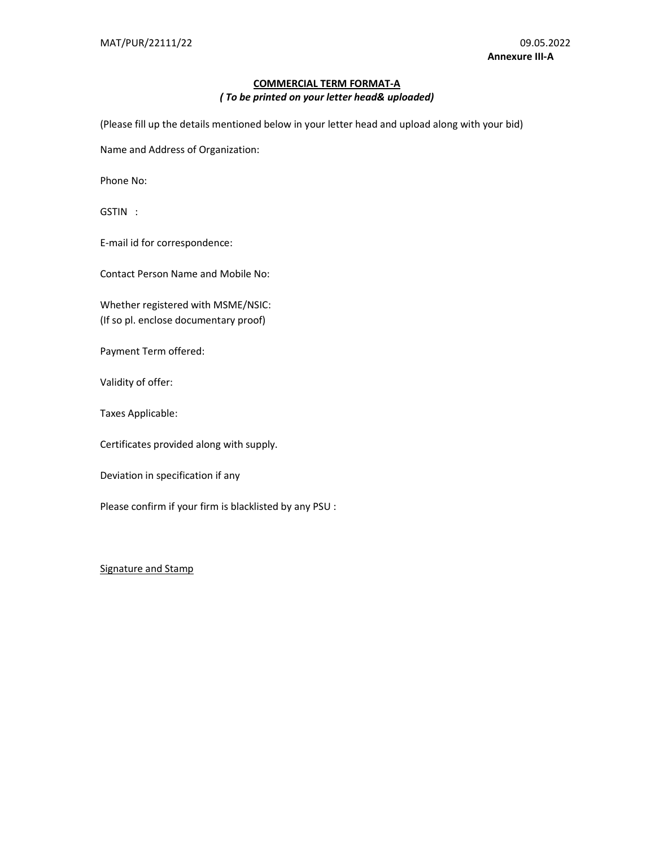## COMMERCIAL TERM FORMAT-A ( To be printed on your letter head& uploaded)

(Please fill up the details mentioned below in your letter head and upload along with your bid)

Name and Address of Organization:

Phone No:

GSTIN :

E-mail id for correspondence:

Contact Person Name and Mobile No:

Whether registered with MSME/NSIC: (If so pl. enclose documentary proof)

Payment Term offered:

Validity of offer:

Taxes Applicable:

Certificates provided along with supply.

Deviation in specification if any

Please confirm if your firm is blacklisted by any PSU :

### Signature and Stamp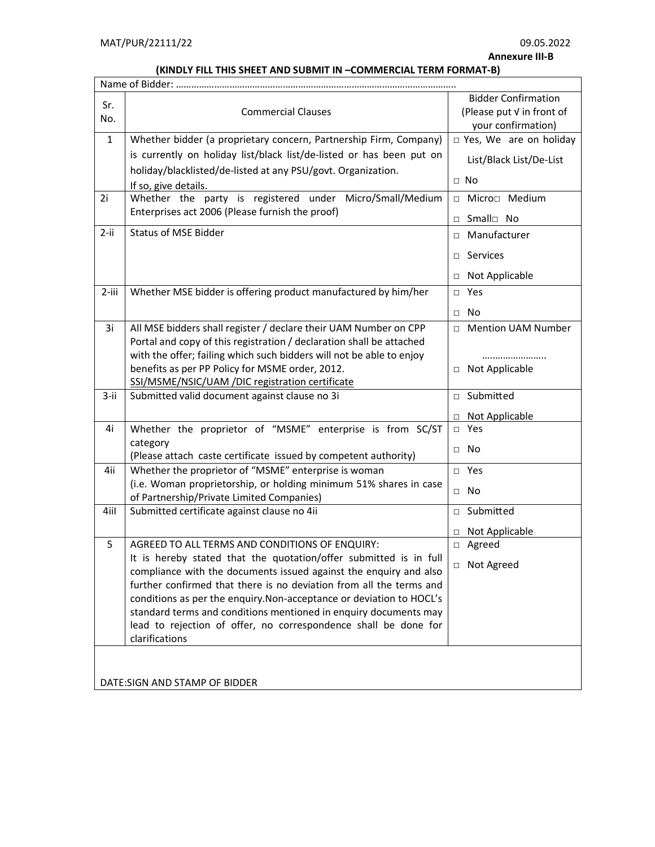Annexure III-B

# (KINDLY FILL THIS SHEET AND SUBMIT IN –COMMERCIAL TERM FORMAT-B)

| Sr.<br>No.                    | <b>Commercial Clauses</b>                                                                                                              |              | <b>Bidder Confirmation</b><br>(Please put V in front of<br>your confirmation) |  |
|-------------------------------|----------------------------------------------------------------------------------------------------------------------------------------|--------------|-------------------------------------------------------------------------------|--|
| $\mathbf{1}$                  | Whether bidder (a proprietary concern, Partnership Firm, Company)                                                                      |              | □ Yes, We are on holiday                                                      |  |
|                               | is currently on holiday list/black list/de-listed or has been put on                                                                   |              | List/Black List/De-List                                                       |  |
|                               | holiday/blacklisted/de-listed at any PSU/govt. Organization.                                                                           | $\Box$ No    |                                                                               |  |
| 2i                            | If so, give details.<br>Whether the party is registered under Micro/Small/Medium                                                       |              | □ Micro□ Medium                                                               |  |
|                               | Enterprises act 2006 (Please furnish the proof)                                                                                        |              |                                                                               |  |
|                               | <b>Status of MSE Bidder</b>                                                                                                            |              | □ Small□ No                                                                   |  |
| $2 - ii$                      |                                                                                                                                        |              | □ Manufacturer                                                                |  |
|                               |                                                                                                                                        | $\Box$       | Services                                                                      |  |
|                               |                                                                                                                                        | $\Box$       | Not Applicable                                                                |  |
| $2$ -iii                      | Whether MSE bidder is offering product manufactured by him/her                                                                         |              | □ Yes                                                                         |  |
|                               |                                                                                                                                        | $\Box$ No    |                                                                               |  |
| 3i                            | All MSE bidders shall register / declare their UAM Number on CPP                                                                       | $\Box$       | <b>Mention UAM Number</b>                                                     |  |
|                               | Portal and copy of this registration / declaration shall be attached                                                                   |              |                                                                               |  |
|                               | with the offer; failing which such bidders will not be able to enjoy                                                                   |              |                                                                               |  |
|                               | benefits as per PP Policy for MSME order, 2012.<br>SSI/MSME/NSIC/UAM /DIC registration certificate                                     |              | □ Not Applicable                                                              |  |
| $3 - ii$                      | Submitted valid document against clause no 3i                                                                                          |              | □ Submitted                                                                   |  |
|                               |                                                                                                                                        | $\Box$       | Not Applicable                                                                |  |
| 4i                            | Whether the proprietor of "MSME" enterprise is from SC/ST                                                                              | $\Box$ Yes   |                                                                               |  |
|                               | category                                                                                                                               | $\Box$       | No                                                                            |  |
| 4ii                           | (Please attach caste certificate issued by competent authority)<br>Whether the proprietor of "MSME" enterprise is woman                |              | □ Yes                                                                         |  |
|                               | (i.e. Woman proprietorship, or holding minimum 51% shares in case                                                                      |              |                                                                               |  |
|                               | of Partnership/Private Limited Companies)                                                                                              | $\square$ No |                                                                               |  |
| 4iil                          | Submitted certificate against clause no 4ii                                                                                            |              | □ Submitted                                                                   |  |
|                               |                                                                                                                                        | $\Box$       | Not Applicable                                                                |  |
| 5                             | AGREED TO ALL TERMS AND CONDITIONS OF ENQUIRY:                                                                                         |              | □ Agreed                                                                      |  |
|                               | It is hereby stated that the quotation/offer submitted is in full<br>compliance with the documents issued against the enquiry and also |              | □ Not Agreed                                                                  |  |
|                               | further confirmed that there is no deviation from all the terms and                                                                    |              |                                                                               |  |
|                               | conditions as per the enquiry. Non-acceptance or deviation to HOCL's                                                                   |              |                                                                               |  |
|                               | standard terms and conditions mentioned in enquiry documents may                                                                       |              |                                                                               |  |
|                               | lead to rejection of offer, no correspondence shall be done for<br>clarifications                                                      |              |                                                                               |  |
|                               |                                                                                                                                        |              |                                                                               |  |
|                               |                                                                                                                                        |              |                                                                               |  |
| DATE:SIGN AND STAMP OF BIDDER |                                                                                                                                        |              |                                                                               |  |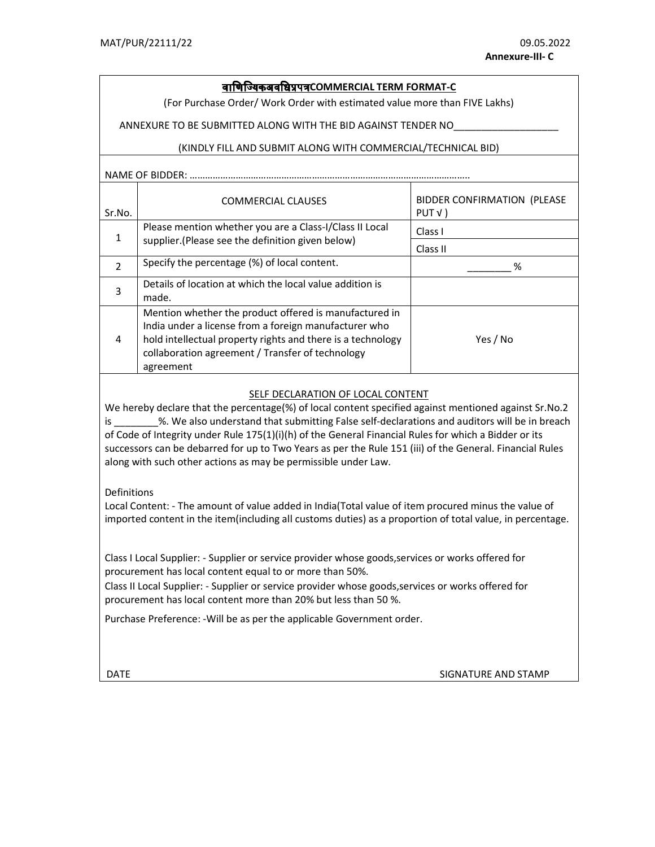# <u>वाणिज्यिकअवधिप्रपत्रCOMMERCIAL TERM FORMAT-C</u>

(For Purchase Order/ Work Order with estimated value more than FIVE Lakhs)

ANNEXURE TO BE SUBMITTED ALONG WITH THE BID AGAINST TENDER NO\_\_\_\_\_\_\_\_\_\_\_\_\_\_\_\_\_\_\_

#### (KINDLY FILL AND SUBMIT ALONG WITH COMMERCIAL/TECHNICAL BID)

# NAME OF BIDDER: ……………………………<u>………………………………………………………………</u>

| Sr.No.        | <b>COMMERCIAL CLAUSES</b>                                                                                                                                                                                                                       | <b>BIDDER CONFIRMATION (PLEASE</b><br>PUT V |
|---------------|-------------------------------------------------------------------------------------------------------------------------------------------------------------------------------------------------------------------------------------------------|---------------------------------------------|
| 1             | Please mention whether you are a Class-I/Class II Local                                                                                                                                                                                         | Class I                                     |
|               | supplier. (Please see the definition given below)                                                                                                                                                                                               | Class II                                    |
| $\mathcal{P}$ | Specify the percentage (%) of local content.                                                                                                                                                                                                    | ℅                                           |
| 3             | Details of location at which the local value addition is<br>made.                                                                                                                                                                               |                                             |
| 4             | Mention whether the product offered is manufactured in<br>India under a license from a foreign manufacturer who<br>hold intellectual property rights and there is a technology<br>collaboration agreement / Transfer of technology<br>agreement | Yes / No                                    |

#### SELF DECLARATION OF LOCAL CONTENT

We hereby declare that the percentage(%) of local content specified against mentioned against Sr.No.2 is \_\_\_\_\_\_\_\_%. We also understand that submitting False self-declarations and auditors will be in breach of Code of Integrity under Rule 175(1)(i)(h) of the General Financial Rules for which a Bidder or its successors can be debarred for up to Two Years as per the Rule 151 (iii) of the General. Financial Rules along with such other actions as may be permissible under Law.

#### Definitions

Local Content: - The amount of value added in India(Total value of item procured minus the value of imported content in the item(including all customs duties) as a proportion of total value, in percentage.

Class I Local Supplier: - Supplier or service provider whose goods,services or works offered for procurement has local content equal to or more than 50%.

Class II Local Supplier: - Supplier or service provider whose goods,services or works offered for procurement has local content more than 20% but less than 50 %.

Purchase Preference: -Will be as per the applicable Government order.

DATE SIGNATURE AND STAMP CONTROL IN THE SIGNATURE AND STAMP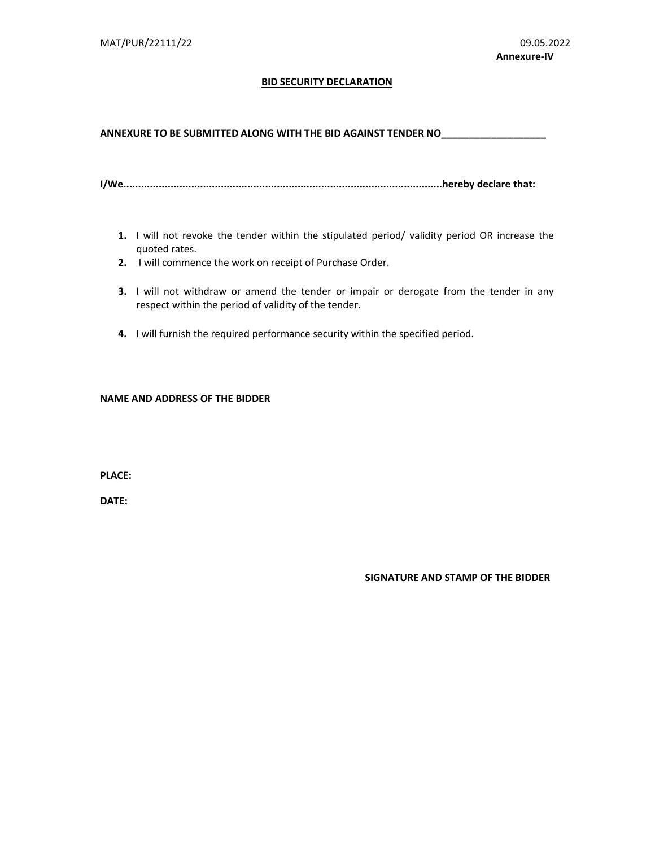#### **BID SECURITY DECLARATION**

ANNEXURE TO BE SUBMITTED ALONG WITH THE BID AGAINST TENDER NO\_\_\_\_\_\_\_\_\_\_\_\_\_\_\_\_\_\_\_\_

I/We............................................................................................................hereby declare that:

- 1. I will not revoke the tender within the stipulated period/ validity period OR increase the quoted rates.
- 2. I will commence the work on receipt of Purchase Order.
- 3. I will not withdraw or amend the tender or impair or derogate from the tender in any respect within the period of validity of the tender.
- 4. I will furnish the required performance security within the specified period.

#### NAME AND ADDRESS OF THE BIDDER

PLACE:

DATE:

SIGNATURE AND STAMP OF THE BIDDER